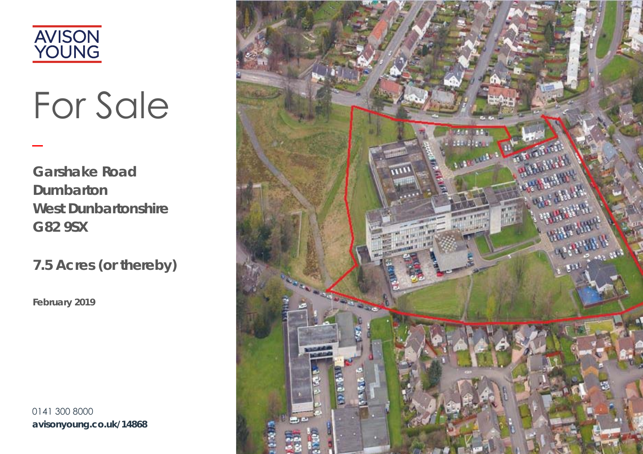

# For Sale

**Garshake Road Dumbarton West Dunbartonshire G82 9SX** 

7.5 Acres (or thereby)

February 2019

0141 300 8000 avisonyoung.co.uk/14868

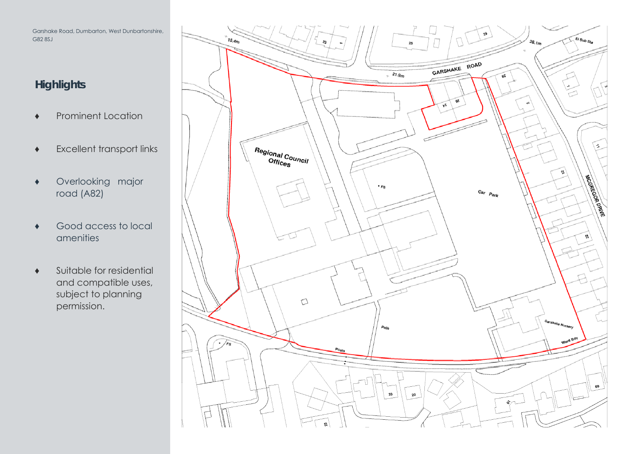Garshake Road, Dumbarton, West Dunbartonshire, G82 8SJ

## **Highlights**

- ♦ Prominent Location
- ♦ Excellent transport links
- ♦ Overlooking major road (A82)
- ♦ Good access to local amenities
- $\bullet$  Suitable for residential and compatible uses, subject to planning permission.

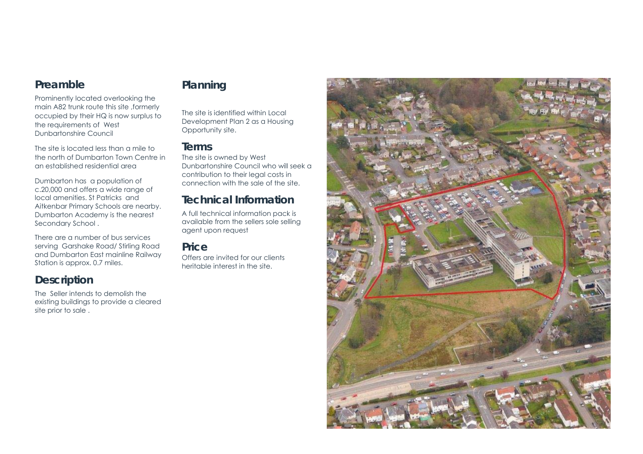#### **Preamble**

Prominently located overlooking the main A82 trunk route this site ,formerly occupied by their HQ is now surplus to the requirements of West Dunbartonshire Council

The site is located less than a mile to the north of Dumbarton Town Centre in an established residential area

Dumbarton has a population of c.20,000 and offers a wide range of local amenities. St Patricks and Aitkenbar Primary Schools are nearby. Dumbarton Academy is the nearest Secondary School .

There are a number of bus services serving Garshake Road/ Stirling Road and Dumbarton East mainline Railway Station is approx. 0.7 miles.

#### **Description**

The Seller intends to demolish the existing buildings to provide a cleared site prior to sale .

### **Planning**

The site is identified within Local Development Plan 2 as a Housing Opportunity site.

#### **Terms**

The site is owned by West Dunbartonshire Council who will seek a contribution to their legal costs in connection with the sale of the site.

#### **Technical Information**

A full technical information pack is available from the sellers sole selling agent upon request

#### **Price**

Offers are invited for our clients heritable interest in the site.

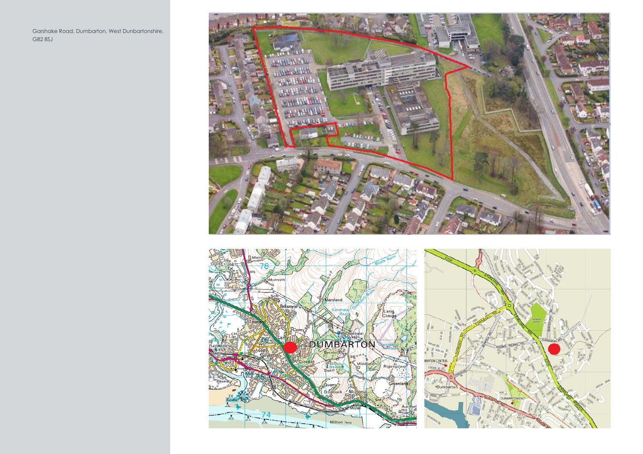Garshake Road, Dumbarton, West Dunbartonshire, G82 8SJ